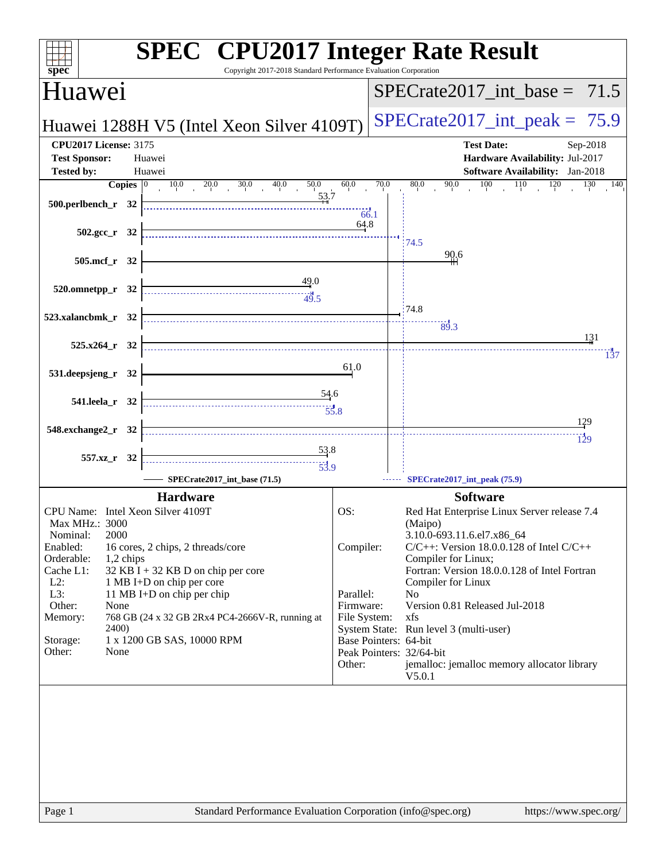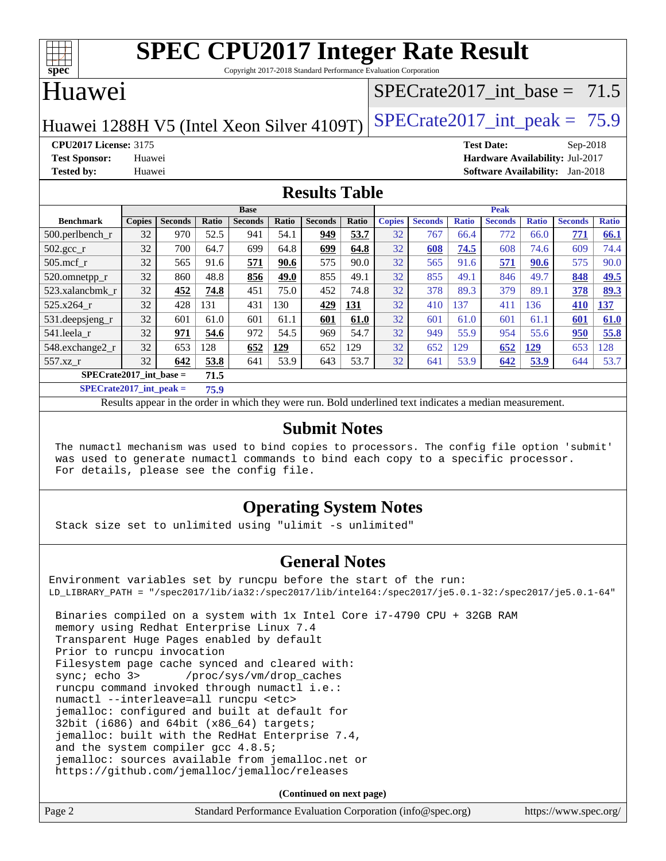

Copyright 2017-2018 Standard Performance Evaluation Corporation

#### Huawei

## $SPECrate2017\_int\_base = 71.5$

Huawei 1288H V5 (Intel Xeon Silver 4109T) SPECrate  $2017$  int peak = 75.9

**[CPU2017 License:](http://www.spec.org/auto/cpu2017/Docs/result-fields.html#CPU2017License)** 3175 **[Test Date:](http://www.spec.org/auto/cpu2017/Docs/result-fields.html#TestDate)** Sep-2018 **[Test Sponsor:](http://www.spec.org/auto/cpu2017/Docs/result-fields.html#TestSponsor)** Huawei **[Hardware Availability:](http://www.spec.org/auto/cpu2017/Docs/result-fields.html#HardwareAvailability)** Jul-2017 **[Tested by:](http://www.spec.org/auto/cpu2017/Docs/result-fields.html#Testedby)** Huawei **[Software Availability:](http://www.spec.org/auto/cpu2017/Docs/result-fields.html#SoftwareAvailability)** Jan-2018

#### **[Results Table](http://www.spec.org/auto/cpu2017/Docs/result-fields.html#ResultsTable)**

|                                   | <b>Base</b>   |                |       |                | <b>Peak</b>  |                |            |               |                |              |                |              |                |              |
|-----------------------------------|---------------|----------------|-------|----------------|--------------|----------------|------------|---------------|----------------|--------------|----------------|--------------|----------------|--------------|
| <b>Benchmark</b>                  | <b>Copies</b> | <b>Seconds</b> | Ratio | <b>Seconds</b> | <b>Ratio</b> | <b>Seconds</b> | Ratio      | <b>Copies</b> | <b>Seconds</b> | <b>Ratio</b> | <b>Seconds</b> | <b>Ratio</b> | <b>Seconds</b> | <b>Ratio</b> |
| $500$ .perlbench r                | 32            | 970            | 52.5  | 941            | 54.1         | 949            | 53.7       | 32            | 767            | 66.4         | 772            | 66.0         | 771            | 66.1         |
| $502.\text{sec}$                  | 32            | 700            | 64.7  | 699            | 64.8         | 699            | 64.8       | 32            | 608            | 74.5         | 608            | 74.6         | 609            | 74.4         |
| $505$ .mcf r                      | 32            | 565            | 91.6  | 571            | 90.6         | 575            | 90.0       | 32            | 565            | 91.6         | 571            | 90.6         | 575            | 90.0         |
| 520.omnetpp_r                     | 32            | 860            | 48.8  | 856            | 49.0         | 855            | 49.1       | 32            | 855            | 49.1         | 846            | 49.7         | 848            | 49.5         |
| 523.xalancbmk r                   | 32            | 452            | 74.8  | 451            | 75.0         | 452            | 74.8       | 32            | 378            | 89.3         | 379            | 89.1         | 378            | 89.3         |
| 525.x264 r                        | 32            | 428            | 131   | 431            | 130          | 429            | <u>131</u> | 32            | 410            | 137          | 411            | 136          | 410            | 137          |
| 531.deepsjeng_r                   | 32            | 601            | 61.0  | 601            | 61.1         | 601            | 61.0       | 32            | 601            | 61.0         | 601            | 61.1         | 601            | 61.0         |
| 541.leela r                       | 32            | 971            | 54.6  | 972            | 54.5         | 969            | 54.7       | 32            | 949            | 55.9         | 954            | 55.6         | 950            | 55.8         |
| 548.exchange2_r                   | 32            | 653            | 128   | 652            | 129          | 652            | 129        | 32            | 652            | 129          | 652            | 129          | 653            | 128          |
| 557.xz r                          | 32            | 642            | 53.8  | 641            | 53.9         | 643            | 53.7       | 32            | 641            | 53.9         | 642            | 53.9         | 644            | 53.7         |
| $SPECrate2017$ int base =<br>71.5 |               |                |       |                |              |                |            |               |                |              |                |              |                |              |

**[SPECrate2017\\_int\\_peak =](http://www.spec.org/auto/cpu2017/Docs/result-fields.html#SPECrate2017intpeak) 75.9**

Results appear in the [order in which they were run.](http://www.spec.org/auto/cpu2017/Docs/result-fields.html#RunOrder) Bold underlined text [indicates a median measurement.](http://www.spec.org/auto/cpu2017/Docs/result-fields.html#Median)

#### **[Submit Notes](http://www.spec.org/auto/cpu2017/Docs/result-fields.html#SubmitNotes)**

 The numactl mechanism was used to bind copies to processors. The config file option 'submit' was used to generate numactl commands to bind each copy to a specific processor. For details, please see the config file.

#### **[Operating System Notes](http://www.spec.org/auto/cpu2017/Docs/result-fields.html#OperatingSystemNotes)**

Stack size set to unlimited using "ulimit -s unlimited"

#### **[General Notes](http://www.spec.org/auto/cpu2017/Docs/result-fields.html#GeneralNotes)**

Environment variables set by runcpu before the start of the run: LD\_LIBRARY\_PATH = "/spec2017/lib/ia32:/spec2017/lib/intel64:/spec2017/je5.0.1-32:/spec2017/je5.0.1-64"

 Binaries compiled on a system with 1x Intel Core i7-4790 CPU + 32GB RAM memory using Redhat Enterprise Linux 7.4 Transparent Huge Pages enabled by default Prior to runcpu invocation Filesystem page cache synced and cleared with: sync; echo 3> /proc/sys/vm/drop\_caches runcpu command invoked through numactl i.e.: numactl --interleave=all runcpu <etc> jemalloc: configured and built at default for 32bit (i686) and 64bit (x86\_64) targets; jemalloc: built with the RedHat Enterprise 7.4, and the system compiler gcc 4.8.5; jemalloc: sources available from jemalloc.net or <https://github.com/jemalloc/jemalloc/releases>

**(Continued on next page)**

| Page 2 | Standard Performance Evaluation Corporation (info@spec.org) | https://www.spec.org/ |
|--------|-------------------------------------------------------------|-----------------------|
|        |                                                             |                       |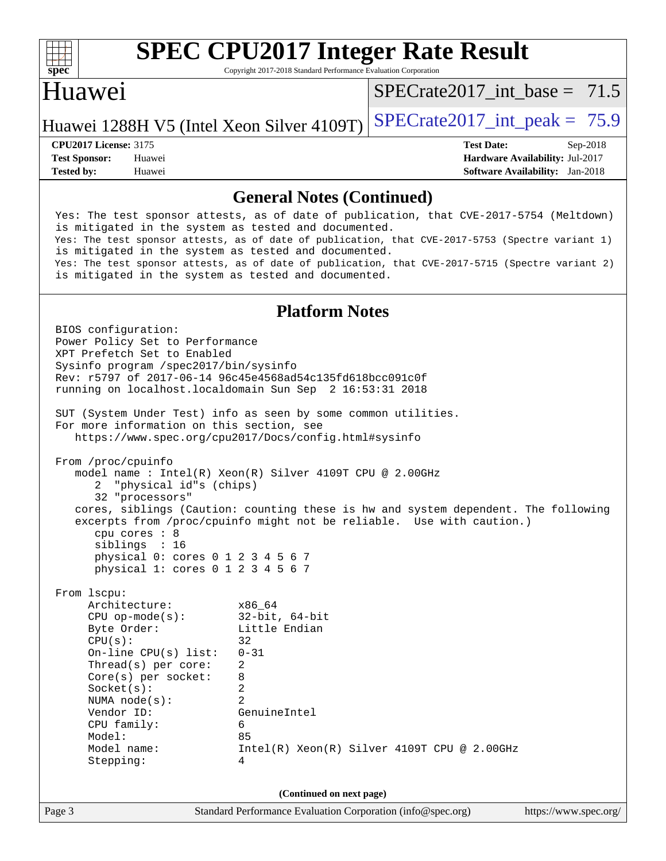

Copyright 2017-2018 Standard Performance Evaluation Corporation

#### Huawei

SPECrate2017 int\_base =  $71.5$ 

Huawei 1288H V5 (Intel Xeon Silver 4109T) SPECrate  $2017$  int peak = 75.9

**[Tested by:](http://www.spec.org/auto/cpu2017/Docs/result-fields.html#Testedby)** Huawei **[Software Availability:](http://www.spec.org/auto/cpu2017/Docs/result-fields.html#SoftwareAvailability)** Jan-2018

**[CPU2017 License:](http://www.spec.org/auto/cpu2017/Docs/result-fields.html#CPU2017License)** 3175 **[Test Date:](http://www.spec.org/auto/cpu2017/Docs/result-fields.html#TestDate)** Sep-2018 **[Test Sponsor:](http://www.spec.org/auto/cpu2017/Docs/result-fields.html#TestSponsor)** Huawei **[Hardware Availability:](http://www.spec.org/auto/cpu2017/Docs/result-fields.html#HardwareAvailability)** Jul-2017

#### **[General Notes \(Continued\)](http://www.spec.org/auto/cpu2017/Docs/result-fields.html#GeneralNotes)**

 Yes: The test sponsor attests, as of date of publication, that CVE-2017-5754 (Meltdown) is mitigated in the system as tested and documented. Yes: The test sponsor attests, as of date of publication, that CVE-2017-5753 (Spectre variant 1) is mitigated in the system as tested and documented. Yes: The test sponsor attests, as of date of publication, that CVE-2017-5715 (Spectre variant 2) is mitigated in the system as tested and documented.

#### **[Platform Notes](http://www.spec.org/auto/cpu2017/Docs/result-fields.html#PlatformNotes)**

Page 3 Standard Performance Evaluation Corporation [\(info@spec.org\)](mailto:info@spec.org) <https://www.spec.org/> BIOS configuration: Power Policy Set to Performance XPT Prefetch Set to Enabled Sysinfo program /spec2017/bin/sysinfo Rev: r5797 of 2017-06-14 96c45e4568ad54c135fd618bcc091c0f running on localhost.localdomain Sun Sep 2 16:53:31 2018 SUT (System Under Test) info as seen by some common utilities. For more information on this section, see <https://www.spec.org/cpu2017/Docs/config.html#sysinfo> From /proc/cpuinfo model name : Intel(R) Xeon(R) Silver 4109T CPU @ 2.00GHz 2 "physical id"s (chips) 32 "processors" cores, siblings (Caution: counting these is hw and system dependent. The following excerpts from /proc/cpuinfo might not be reliable. Use with caution.) cpu cores : 8 siblings : 16 physical 0: cores 0 1 2 3 4 5 6 7 physical 1: cores 0 1 2 3 4 5 6 7 From lscpu: Architecture: x86\_64 CPU op-mode(s): 32-bit, 64-bit Byte Order: Little Endian  $CPU(s):$  32 On-line CPU(s) list: 0-31 Thread(s) per core: 2 Core(s) per socket: 8 Socket(s): 2 NUMA node(s): 2 Vendor ID: GenuineIntel CPU family: 6 Model: 85 Model name:  $Intel(R)$  Xeon(R) Silver 4109T CPU @ 2.00GHz Stepping: 4 **(Continued on next page)**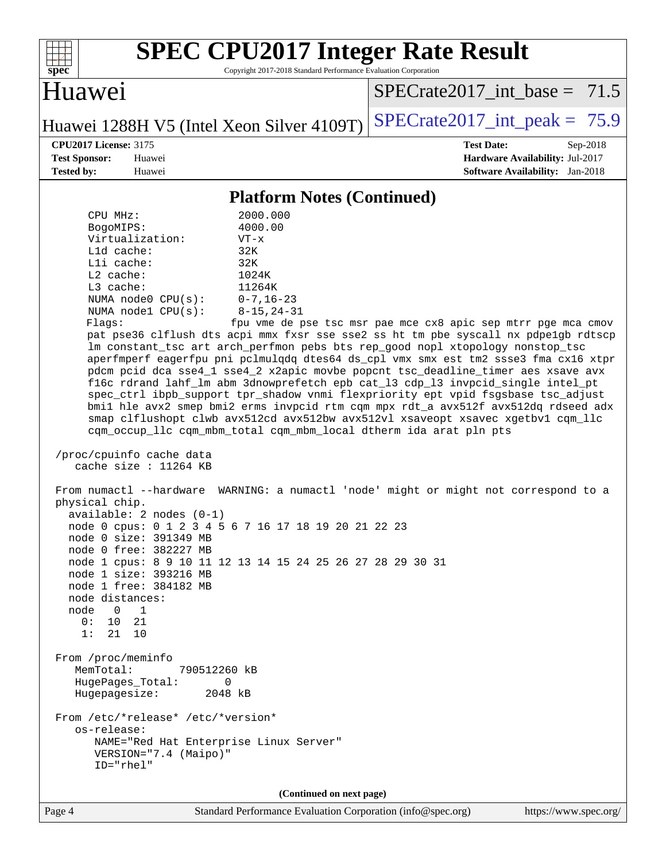

Copyright 2017-2018 Standard Performance Evaluation Corporation

Huawei

SPECrate2017 int\_base =  $71.5$ 

Huawei 1288H V5 (Intel Xeon Silver 4109T) SPECrate  $2017$  int peak = 75.9

**[CPU2017 License:](http://www.spec.org/auto/cpu2017/Docs/result-fields.html#CPU2017License)** 3175 **[Test Date:](http://www.spec.org/auto/cpu2017/Docs/result-fields.html#TestDate)** Sep-2018 **[Test Sponsor:](http://www.spec.org/auto/cpu2017/Docs/result-fields.html#TestSponsor)** Huawei **[Hardware Availability:](http://www.spec.org/auto/cpu2017/Docs/result-fields.html#HardwareAvailability)** Jul-2017 **[Tested by:](http://www.spec.org/auto/cpu2017/Docs/result-fields.html#Testedby)** Huawei **[Software Availability:](http://www.spec.org/auto/cpu2017/Docs/result-fields.html#SoftwareAvailability)** Jan-2018

#### **[Platform Notes \(Continued\)](http://www.spec.org/auto/cpu2017/Docs/result-fields.html#PlatformNotes)**

 CPU MHz: 2000.000 BogoMIPS: 4000.00 Virtualization: VT-x L1d cache: 32K L1i cache: 32K L2 cache: 1024K L3 cache: 11264K NUMA node0 CPU(s): 0-7,16-23 NUMA node1 CPU(s): 8-15,24-31 Flags: fpu vme de pse tsc msr pae mce cx8 apic sep mtrr pge mca cmov pat pse36 clflush dts acpi mmx fxsr sse sse2 ss ht tm pbe syscall nx pdpe1gb rdtscp lm constant\_tsc art arch\_perfmon pebs bts rep\_good nopl xtopology nonstop\_tsc aperfmperf eagerfpu pni pclmulqdq dtes64 ds\_cpl vmx smx est tm2 ssse3 fma cx16 xtpr pdcm pcid dca sse4\_1 sse4\_2 x2apic movbe popcnt tsc\_deadline\_timer aes xsave avx f16c rdrand lahf\_lm abm 3dnowprefetch epb cat\_l3 cdp\_l3 invpcid\_single intel\_pt spec\_ctrl ibpb\_support tpr\_shadow vnmi flexpriority ept vpid fsgsbase tsc\_adjust bmi1 hle avx2 smep bmi2 erms invpcid rtm cqm mpx rdt\_a avx512f avx512dq rdseed adx smap clflushopt clwb avx512cd avx512bw avx512vl xsaveopt xsavec xgetbv1 cqm\_llc cqm\_occup\_llc cqm\_mbm\_total cqm\_mbm\_local dtherm ida arat pln pts /proc/cpuinfo cache data cache size : 11264 KB From numactl --hardware WARNING: a numactl 'node' might or might not correspond to a physical chip. available: 2 nodes (0-1) node 0 cpus: 0 1 2 3 4 5 6 7 16 17 18 19 20 21 22 23 node 0 size: 391349 MB node 0 free: 382227 MB node 1 cpus: 8 9 10 11 12 13 14 15 24 25 26 27 28 29 30 31 node 1 size: 393216 MB node 1 free: 384182 MB node distances: node 0 1 0: 10 21 1: 21 10 From /proc/meminfo MemTotal: 790512260 kB HugePages\_Total: 0 Hugepagesize: 2048 kB From /etc/\*release\* /etc/\*version\* os-release: NAME="Red Hat Enterprise Linux Server" VERSION="7.4 (Maipo)" ID="rhel" **(Continued on next page)**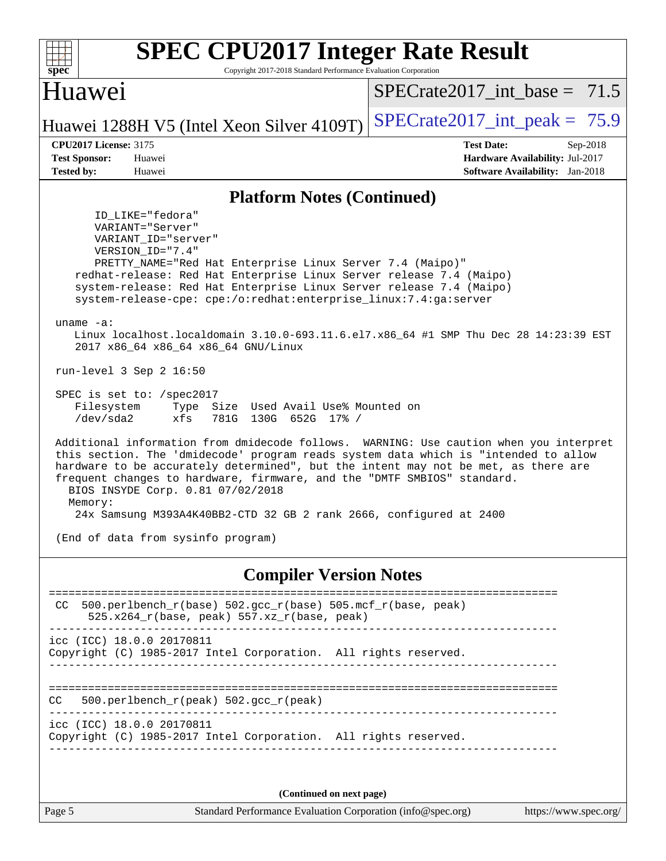| <b>SPEC CPU2017 Integer Rate Result</b><br>Copyright 2017-2018 Standard Performance Evaluation Corporation<br>spec <sup>®</sup>                                                                                                                                                                                                                                                                                                                                                                                                                                                                                                                                                                                                                                                                                                                                                                                                                                                                                                                                                                                                                                                                      |                                                                                                       |
|------------------------------------------------------------------------------------------------------------------------------------------------------------------------------------------------------------------------------------------------------------------------------------------------------------------------------------------------------------------------------------------------------------------------------------------------------------------------------------------------------------------------------------------------------------------------------------------------------------------------------------------------------------------------------------------------------------------------------------------------------------------------------------------------------------------------------------------------------------------------------------------------------------------------------------------------------------------------------------------------------------------------------------------------------------------------------------------------------------------------------------------------------------------------------------------------------|-------------------------------------------------------------------------------------------------------|
| Huawei                                                                                                                                                                                                                                                                                                                                                                                                                                                                                                                                                                                                                                                                                                                                                                                                                                                                                                                                                                                                                                                                                                                                                                                               | $SPECrate2017$ _int_base = 71.5                                                                       |
| Huawei 1288H V5 (Intel Xeon Silver 4109T)                                                                                                                                                                                                                                                                                                                                                                                                                                                                                                                                                                                                                                                                                                                                                                                                                                                                                                                                                                                                                                                                                                                                                            | $SPECTate2017\_int\_peak = 75.9$                                                                      |
| <b>CPU2017 License: 3175</b><br><b>Test Sponsor:</b><br>Huawei<br><b>Tested by:</b><br>Huawei                                                                                                                                                                                                                                                                                                                                                                                                                                                                                                                                                                                                                                                                                                                                                                                                                                                                                                                                                                                                                                                                                                        | <b>Test Date:</b><br>$Sep-2018$<br>Hardware Availability: Jul-2017<br>Software Availability: Jan-2018 |
| <b>Platform Notes (Continued)</b>                                                                                                                                                                                                                                                                                                                                                                                                                                                                                                                                                                                                                                                                                                                                                                                                                                                                                                                                                                                                                                                                                                                                                                    |                                                                                                       |
| ID LIKE="fedora"<br>VARIANT="Server"<br>VARIANT ID="server"<br>VERSION ID="7.4"<br>PRETTY_NAME="Red Hat Enterprise Linux Server 7.4 (Maipo)"<br>redhat-release: Red Hat Enterprise Linux Server release 7.4 (Maipo)<br>system-release: Red Hat Enterprise Linux Server release 7.4 (Maipo)<br>system-release-cpe: cpe:/o:redhat:enterprise_linux:7.4:ga:server<br>uname $-a$ :<br>Linux localhost.localdomain 3.10.0-693.11.6.el7.x86_64 #1 SMP Thu Dec 28 14:23:39 EST<br>2017 x86_64 x86_64 x86_64 GNU/Linux<br>run-level $3$ Sep $2$ 16:50<br>SPEC is set to: /spec2017<br>Filesystem<br>Type Size Used Avail Use% Mounted on<br>$/$ dev $/$ sda2<br>xfs<br>130G 652G 17% /<br>781G<br>Additional information from dmidecode follows. WARNING: Use caution when you interpret<br>this section. The 'dmidecode' program reads system data which is "intended to allow<br>hardware to be accurately determined", but the intent may not be met, as there are<br>frequent changes to hardware, firmware, and the "DMTF SMBIOS" standard.<br>BIOS INSYDE Corp. 0.81 07/02/2018<br>Memory:<br>24x Samsung M393A4K40BB2-CTD 32 GB 2 rank 2666, configured at 2400<br>(End of data from sysinfo program) |                                                                                                       |
| <b>Compiler Version Notes</b>                                                                                                                                                                                                                                                                                                                                                                                                                                                                                                                                                                                                                                                                                                                                                                                                                                                                                                                                                                                                                                                                                                                                                                        | ==============================                                                                        |
| 500.perlbench_r(base) 502.gcc_r(base) 505.mcf_r(base, peak)<br>CC<br>$525.x264_r(base, peak) 557.xz_r(base, peak)$                                                                                                                                                                                                                                                                                                                                                                                                                                                                                                                                                                                                                                                                                                                                                                                                                                                                                                                                                                                                                                                                                   |                                                                                                       |
| icc (ICC) 18.0.0 20170811<br>Copyright (C) 1985-2017 Intel Corporation. All rights reserved.                                                                                                                                                                                                                                                                                                                                                                                                                                                                                                                                                                                                                                                                                                                                                                                                                                                                                                                                                                                                                                                                                                         |                                                                                                       |
| 500.perlbench_r(peak) 502.gcc_r(peak)<br>CC.                                                                                                                                                                                                                                                                                                                                                                                                                                                                                                                                                                                                                                                                                                                                                                                                                                                                                                                                                                                                                                                                                                                                                         |                                                                                                       |
| icc (ICC) 18.0.0 20170811<br>Copyright (C) 1985-2017 Intel Corporation. All rights reserved.                                                                                                                                                                                                                                                                                                                                                                                                                                                                                                                                                                                                                                                                                                                                                                                                                                                                                                                                                                                                                                                                                                         |                                                                                                       |
| (Continued on next page)                                                                                                                                                                                                                                                                                                                                                                                                                                                                                                                                                                                                                                                                                                                                                                                                                                                                                                                                                                                                                                                                                                                                                                             |                                                                                                       |
| Standard Performance Evaluation Corporation (info@spec.org)<br>Page 5                                                                                                                                                                                                                                                                                                                                                                                                                                                                                                                                                                                                                                                                                                                                                                                                                                                                                                                                                                                                                                                                                                                                | https://www.spec.org/                                                                                 |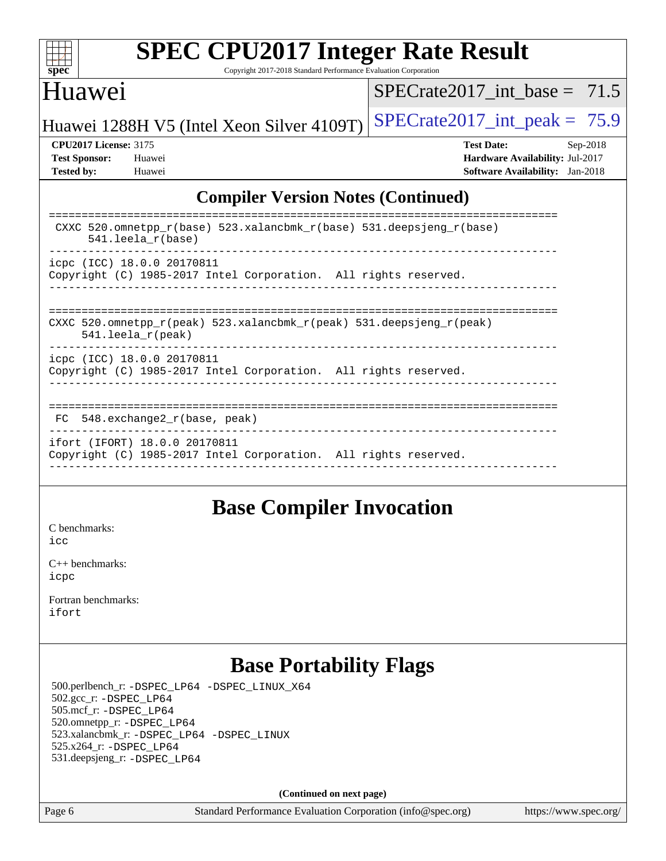

Copyright 2017-2018 Standard Performance Evaluation Corporation

#### Huawei

SPECrate2017 int\_base =  $71.5$ 

Huawei 1288H V5 (Intel Xeon Silver 4109T) SPECrate  $2017$  int peak = 75.9

**[CPU2017 License:](http://www.spec.org/auto/cpu2017/Docs/result-fields.html#CPU2017License)** 3175 **[Test Date:](http://www.spec.org/auto/cpu2017/Docs/result-fields.html#TestDate)** Sep-2018 **[Test Sponsor:](http://www.spec.org/auto/cpu2017/Docs/result-fields.html#TestSponsor)** Huawei **[Hardware Availability:](http://www.spec.org/auto/cpu2017/Docs/result-fields.html#HardwareAvailability)** Jul-2017 **[Tested by:](http://www.spec.org/auto/cpu2017/Docs/result-fields.html#Testedby)** Huawei **[Software Availability:](http://www.spec.org/auto/cpu2017/Docs/result-fields.html#SoftwareAvailability)** Jan-2018

#### **[Compiler Version Notes \(Continued\)](http://www.spec.org/auto/cpu2017/Docs/result-fields.html#CompilerVersionNotes)**

| CXXC 520.omnetpp $r(base)$ 523.xalancbmk $r(base)$ 531.deepsjeng $r(base)$<br>$541.$ leela r(base)                      |
|-------------------------------------------------------------------------------------------------------------------------|
| icpc (ICC) 18.0.0 20170811<br>Copyright (C) 1985-2017 Intel Corporation. All rights reserved.                           |
| CXXC 520.omnetpp $r(\text{peak})$ 523.xalancbmk $r(\text{peak})$ 531.deepsjeng $r(\text{peak})$<br>$541.$ leela r(peak) |
| icpc (ICC) 18.0.0 20170811<br>Copyright (C) 1985-2017 Intel Corporation. All rights reserved.                           |
| $FC$ 548. exchange2 $r(base, peak)$                                                                                     |
| ifort (IFORT) 18.0.0 20170811<br>Copyright (C) 1985-2017 Intel Corporation. All rights reserved.                        |

#### **[Base Compiler Invocation](http://www.spec.org/auto/cpu2017/Docs/result-fields.html#BaseCompilerInvocation)**

[C benchmarks](http://www.spec.org/auto/cpu2017/Docs/result-fields.html#Cbenchmarks): [icc](http://www.spec.org/cpu2017/results/res2018q4/cpu2017-20180909-08825.flags.html#user_CCbase_intel_icc_18.0_66fc1ee009f7361af1fbd72ca7dcefbb700085f36577c54f309893dd4ec40d12360134090235512931783d35fd58c0460139e722d5067c5574d8eaf2b3e37e92)

[C++ benchmarks:](http://www.spec.org/auto/cpu2017/Docs/result-fields.html#CXXbenchmarks) [icpc](http://www.spec.org/cpu2017/results/res2018q4/cpu2017-20180909-08825.flags.html#user_CXXbase_intel_icpc_18.0_c510b6838c7f56d33e37e94d029a35b4a7bccf4766a728ee175e80a419847e808290a9b78be685c44ab727ea267ec2f070ec5dc83b407c0218cded6866a35d07)

[Fortran benchmarks](http://www.spec.org/auto/cpu2017/Docs/result-fields.html#Fortranbenchmarks): [ifort](http://www.spec.org/cpu2017/results/res2018q4/cpu2017-20180909-08825.flags.html#user_FCbase_intel_ifort_18.0_8111460550e3ca792625aed983ce982f94888b8b503583aa7ba2b8303487b4d8a21a13e7191a45c5fd58ff318f48f9492884d4413fa793fd88dd292cad7027ca)

## **[Base Portability Flags](http://www.spec.org/auto/cpu2017/Docs/result-fields.html#BasePortabilityFlags)**

 500.perlbench\_r: [-DSPEC\\_LP64](http://www.spec.org/cpu2017/results/res2018q4/cpu2017-20180909-08825.flags.html#b500.perlbench_r_basePORTABILITY_DSPEC_LP64) [-DSPEC\\_LINUX\\_X64](http://www.spec.org/cpu2017/results/res2018q4/cpu2017-20180909-08825.flags.html#b500.perlbench_r_baseCPORTABILITY_DSPEC_LINUX_X64) 502.gcc\_r: [-DSPEC\\_LP64](http://www.spec.org/cpu2017/results/res2018q4/cpu2017-20180909-08825.flags.html#suite_basePORTABILITY502_gcc_r_DSPEC_LP64) 505.mcf\_r: [-DSPEC\\_LP64](http://www.spec.org/cpu2017/results/res2018q4/cpu2017-20180909-08825.flags.html#suite_basePORTABILITY505_mcf_r_DSPEC_LP64) 520.omnetpp\_r: [-DSPEC\\_LP64](http://www.spec.org/cpu2017/results/res2018q4/cpu2017-20180909-08825.flags.html#suite_basePORTABILITY520_omnetpp_r_DSPEC_LP64) 523.xalancbmk\_r: [-DSPEC\\_LP64](http://www.spec.org/cpu2017/results/res2018q4/cpu2017-20180909-08825.flags.html#suite_basePORTABILITY523_xalancbmk_r_DSPEC_LP64) [-DSPEC\\_LINUX](http://www.spec.org/cpu2017/results/res2018q4/cpu2017-20180909-08825.flags.html#b523.xalancbmk_r_baseCXXPORTABILITY_DSPEC_LINUX) 525.x264\_r: [-DSPEC\\_LP64](http://www.spec.org/cpu2017/results/res2018q4/cpu2017-20180909-08825.flags.html#suite_basePORTABILITY525_x264_r_DSPEC_LP64) 531.deepsjeng\_r: [-DSPEC\\_LP64](http://www.spec.org/cpu2017/results/res2018q4/cpu2017-20180909-08825.flags.html#suite_basePORTABILITY531_deepsjeng_r_DSPEC_LP64)

**(Continued on next page)**

Page 6 Standard Performance Evaluation Corporation [\(info@spec.org\)](mailto:info@spec.org) <https://www.spec.org/>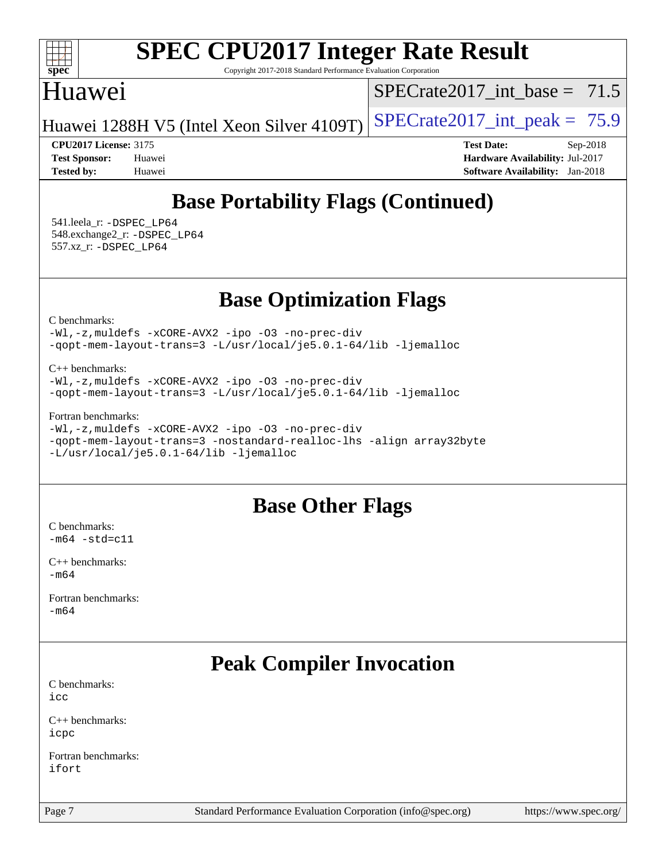

Copyright 2017-2018 Standard Performance Evaluation Corporation

#### Huawei

 $SPECrate2017\_int\_base = 71.5$ 

Huawei 1288H V5 (Intel Xeon Silver 4109T) SPECrate  $2017$  int peak = 75.9

**[CPU2017 License:](http://www.spec.org/auto/cpu2017/Docs/result-fields.html#CPU2017License)** 3175 **[Test Date:](http://www.spec.org/auto/cpu2017/Docs/result-fields.html#TestDate)** Sep-2018 **[Test Sponsor:](http://www.spec.org/auto/cpu2017/Docs/result-fields.html#TestSponsor)** Huawei **[Hardware Availability:](http://www.spec.org/auto/cpu2017/Docs/result-fields.html#HardwareAvailability)** Jul-2017 **[Tested by:](http://www.spec.org/auto/cpu2017/Docs/result-fields.html#Testedby)** Huawei **[Software Availability:](http://www.spec.org/auto/cpu2017/Docs/result-fields.html#SoftwareAvailability)** Jan-2018

## **[Base Portability Flags \(Continued\)](http://www.spec.org/auto/cpu2017/Docs/result-fields.html#BasePortabilityFlags)**

 541.leela\_r: [-DSPEC\\_LP64](http://www.spec.org/cpu2017/results/res2018q4/cpu2017-20180909-08825.flags.html#suite_basePORTABILITY541_leela_r_DSPEC_LP64) 548.exchange2\_r: [-DSPEC\\_LP64](http://www.spec.org/cpu2017/results/res2018q4/cpu2017-20180909-08825.flags.html#suite_basePORTABILITY548_exchange2_r_DSPEC_LP64) 557.xz\_r: [-DSPEC\\_LP64](http://www.spec.org/cpu2017/results/res2018q4/cpu2017-20180909-08825.flags.html#suite_basePORTABILITY557_xz_r_DSPEC_LP64)

## **[Base Optimization Flags](http://www.spec.org/auto/cpu2017/Docs/result-fields.html#BaseOptimizationFlags)**

[C benchmarks](http://www.spec.org/auto/cpu2017/Docs/result-fields.html#Cbenchmarks):

[-Wl,-z,muldefs](http://www.spec.org/cpu2017/results/res2018q4/cpu2017-20180909-08825.flags.html#user_CCbase_link_force_multiple1_b4cbdb97b34bdee9ceefcfe54f4c8ea74255f0b02a4b23e853cdb0e18eb4525ac79b5a88067c842dd0ee6996c24547a27a4b99331201badda8798ef8a743f577) [-xCORE-AVX2](http://www.spec.org/cpu2017/results/res2018q4/cpu2017-20180909-08825.flags.html#user_CCbase_f-xCORE-AVX2) [-ipo](http://www.spec.org/cpu2017/results/res2018q4/cpu2017-20180909-08825.flags.html#user_CCbase_f-ipo) [-O3](http://www.spec.org/cpu2017/results/res2018q4/cpu2017-20180909-08825.flags.html#user_CCbase_f-O3) [-no-prec-div](http://www.spec.org/cpu2017/results/res2018q4/cpu2017-20180909-08825.flags.html#user_CCbase_f-no-prec-div) [-qopt-mem-layout-trans=3](http://www.spec.org/cpu2017/results/res2018q4/cpu2017-20180909-08825.flags.html#user_CCbase_f-qopt-mem-layout-trans_de80db37974c74b1f0e20d883f0b675c88c3b01e9d123adea9b28688d64333345fb62bc4a798493513fdb68f60282f9a726aa07f478b2f7113531aecce732043) [-L/usr/local/je5.0.1-64/lib](http://www.spec.org/cpu2017/results/res2018q4/cpu2017-20180909-08825.flags.html#user_CCbase_jemalloc_link_path64_4b10a636b7bce113509b17f3bd0d6226c5fb2346b9178c2d0232c14f04ab830f976640479e5c33dc2bcbbdad86ecfb6634cbbd4418746f06f368b512fced5394) [-ljemalloc](http://www.spec.org/cpu2017/results/res2018q4/cpu2017-20180909-08825.flags.html#user_CCbase_jemalloc_link_lib_d1249b907c500fa1c0672f44f562e3d0f79738ae9e3c4a9c376d49f265a04b9c99b167ecedbf6711b3085be911c67ff61f150a17b3472be731631ba4d0471706)

[C++ benchmarks:](http://www.spec.org/auto/cpu2017/Docs/result-fields.html#CXXbenchmarks)

[-Wl,-z,muldefs](http://www.spec.org/cpu2017/results/res2018q4/cpu2017-20180909-08825.flags.html#user_CXXbase_link_force_multiple1_b4cbdb97b34bdee9ceefcfe54f4c8ea74255f0b02a4b23e853cdb0e18eb4525ac79b5a88067c842dd0ee6996c24547a27a4b99331201badda8798ef8a743f577) [-xCORE-AVX2](http://www.spec.org/cpu2017/results/res2018q4/cpu2017-20180909-08825.flags.html#user_CXXbase_f-xCORE-AVX2) [-ipo](http://www.spec.org/cpu2017/results/res2018q4/cpu2017-20180909-08825.flags.html#user_CXXbase_f-ipo) [-O3](http://www.spec.org/cpu2017/results/res2018q4/cpu2017-20180909-08825.flags.html#user_CXXbase_f-O3) [-no-prec-div](http://www.spec.org/cpu2017/results/res2018q4/cpu2017-20180909-08825.flags.html#user_CXXbase_f-no-prec-div) [-qopt-mem-layout-trans=3](http://www.spec.org/cpu2017/results/res2018q4/cpu2017-20180909-08825.flags.html#user_CXXbase_f-qopt-mem-layout-trans_de80db37974c74b1f0e20d883f0b675c88c3b01e9d123adea9b28688d64333345fb62bc4a798493513fdb68f60282f9a726aa07f478b2f7113531aecce732043) [-L/usr/local/je5.0.1-64/lib](http://www.spec.org/cpu2017/results/res2018q4/cpu2017-20180909-08825.flags.html#user_CXXbase_jemalloc_link_path64_4b10a636b7bce113509b17f3bd0d6226c5fb2346b9178c2d0232c14f04ab830f976640479e5c33dc2bcbbdad86ecfb6634cbbd4418746f06f368b512fced5394) [-ljemalloc](http://www.spec.org/cpu2017/results/res2018q4/cpu2017-20180909-08825.flags.html#user_CXXbase_jemalloc_link_lib_d1249b907c500fa1c0672f44f562e3d0f79738ae9e3c4a9c376d49f265a04b9c99b167ecedbf6711b3085be911c67ff61f150a17b3472be731631ba4d0471706)

[Fortran benchmarks](http://www.spec.org/auto/cpu2017/Docs/result-fields.html#Fortranbenchmarks):

[-Wl,-z,muldefs](http://www.spec.org/cpu2017/results/res2018q4/cpu2017-20180909-08825.flags.html#user_FCbase_link_force_multiple1_b4cbdb97b34bdee9ceefcfe54f4c8ea74255f0b02a4b23e853cdb0e18eb4525ac79b5a88067c842dd0ee6996c24547a27a4b99331201badda8798ef8a743f577) [-xCORE-AVX2](http://www.spec.org/cpu2017/results/res2018q4/cpu2017-20180909-08825.flags.html#user_FCbase_f-xCORE-AVX2) [-ipo](http://www.spec.org/cpu2017/results/res2018q4/cpu2017-20180909-08825.flags.html#user_FCbase_f-ipo) [-O3](http://www.spec.org/cpu2017/results/res2018q4/cpu2017-20180909-08825.flags.html#user_FCbase_f-O3) [-no-prec-div](http://www.spec.org/cpu2017/results/res2018q4/cpu2017-20180909-08825.flags.html#user_FCbase_f-no-prec-div) [-qopt-mem-layout-trans=3](http://www.spec.org/cpu2017/results/res2018q4/cpu2017-20180909-08825.flags.html#user_FCbase_f-qopt-mem-layout-trans_de80db37974c74b1f0e20d883f0b675c88c3b01e9d123adea9b28688d64333345fb62bc4a798493513fdb68f60282f9a726aa07f478b2f7113531aecce732043) [-nostandard-realloc-lhs](http://www.spec.org/cpu2017/results/res2018q4/cpu2017-20180909-08825.flags.html#user_FCbase_f_2003_std_realloc_82b4557e90729c0f113870c07e44d33d6f5a304b4f63d4c15d2d0f1fab99f5daaed73bdb9275d9ae411527f28b936061aa8b9c8f2d63842963b95c9dd6426b8a) [-align array32byte](http://www.spec.org/cpu2017/results/res2018q4/cpu2017-20180909-08825.flags.html#user_FCbase_align_array32byte_b982fe038af199962ba9a80c053b8342c548c85b40b8e86eb3cc33dee0d7986a4af373ac2d51c3f7cf710a18d62fdce2948f201cd044323541f22fc0fffc51b6) [-L/usr/local/je5.0.1-64/lib](http://www.spec.org/cpu2017/results/res2018q4/cpu2017-20180909-08825.flags.html#user_FCbase_jemalloc_link_path64_4b10a636b7bce113509b17f3bd0d6226c5fb2346b9178c2d0232c14f04ab830f976640479e5c33dc2bcbbdad86ecfb6634cbbd4418746f06f368b512fced5394) [-ljemalloc](http://www.spec.org/cpu2017/results/res2018q4/cpu2017-20180909-08825.flags.html#user_FCbase_jemalloc_link_lib_d1249b907c500fa1c0672f44f562e3d0f79738ae9e3c4a9c376d49f265a04b9c99b167ecedbf6711b3085be911c67ff61f150a17b3472be731631ba4d0471706)

#### **[Base Other Flags](http://www.spec.org/auto/cpu2017/Docs/result-fields.html#BaseOtherFlags)**

[C benchmarks](http://www.spec.org/auto/cpu2017/Docs/result-fields.html#Cbenchmarks):  $-m64$   $-std=cl1$ 

[C++ benchmarks:](http://www.spec.org/auto/cpu2017/Docs/result-fields.html#CXXbenchmarks) [-m64](http://www.spec.org/cpu2017/results/res2018q4/cpu2017-20180909-08825.flags.html#user_CXXbase_intel_intel64_18.0_af43caccfc8ded86e7699f2159af6efc7655f51387b94da716254467f3c01020a5059329e2569e4053f409e7c9202a7efc638f7a6d1ffb3f52dea4a3e31d82ab)

[Fortran benchmarks](http://www.spec.org/auto/cpu2017/Docs/result-fields.html#Fortranbenchmarks): [-m64](http://www.spec.org/cpu2017/results/res2018q4/cpu2017-20180909-08825.flags.html#user_FCbase_intel_intel64_18.0_af43caccfc8ded86e7699f2159af6efc7655f51387b94da716254467f3c01020a5059329e2569e4053f409e7c9202a7efc638f7a6d1ffb3f52dea4a3e31d82ab)

## **[Peak Compiler Invocation](http://www.spec.org/auto/cpu2017/Docs/result-fields.html#PeakCompilerInvocation)**

[C benchmarks](http://www.spec.org/auto/cpu2017/Docs/result-fields.html#Cbenchmarks): [icc](http://www.spec.org/cpu2017/results/res2018q4/cpu2017-20180909-08825.flags.html#user_CCpeak_intel_icc_18.0_66fc1ee009f7361af1fbd72ca7dcefbb700085f36577c54f309893dd4ec40d12360134090235512931783d35fd58c0460139e722d5067c5574d8eaf2b3e37e92)

[C++ benchmarks:](http://www.spec.org/auto/cpu2017/Docs/result-fields.html#CXXbenchmarks) [icpc](http://www.spec.org/cpu2017/results/res2018q4/cpu2017-20180909-08825.flags.html#user_CXXpeak_intel_icpc_18.0_c510b6838c7f56d33e37e94d029a35b4a7bccf4766a728ee175e80a419847e808290a9b78be685c44ab727ea267ec2f070ec5dc83b407c0218cded6866a35d07)

[Fortran benchmarks](http://www.spec.org/auto/cpu2017/Docs/result-fields.html#Fortranbenchmarks): [ifort](http://www.spec.org/cpu2017/results/res2018q4/cpu2017-20180909-08825.flags.html#user_FCpeak_intel_ifort_18.0_8111460550e3ca792625aed983ce982f94888b8b503583aa7ba2b8303487b4d8a21a13e7191a45c5fd58ff318f48f9492884d4413fa793fd88dd292cad7027ca)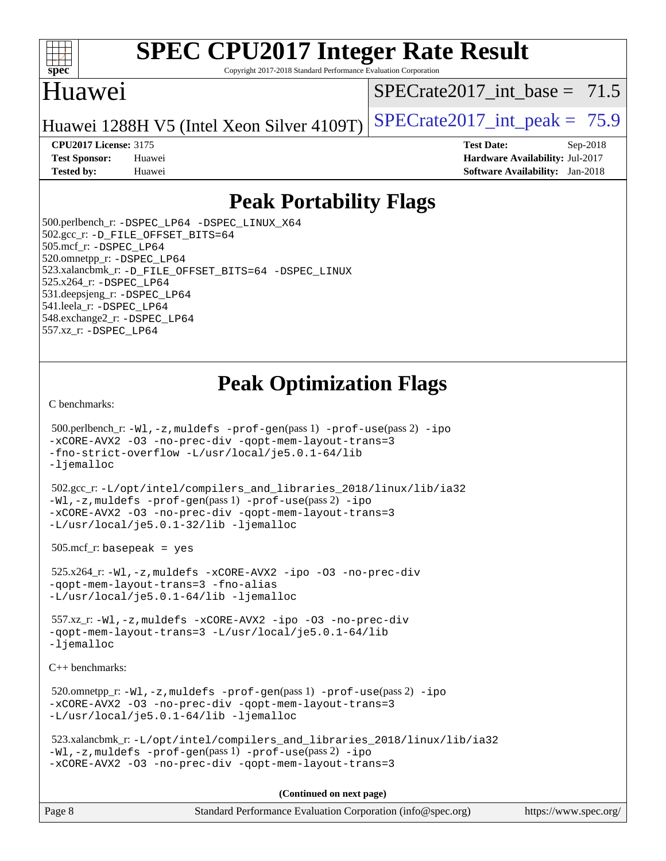

Copyright 2017-2018 Standard Performance Evaluation Corporation

## Huawei

SPECrate2017 int\_base =  $71.5$ 

Huawei 1288H V5 (Intel Xeon Silver 4109T) SPECrate  $2017$  int peak = 75.9

**[CPU2017 License:](http://www.spec.org/auto/cpu2017/Docs/result-fields.html#CPU2017License)** 3175 **[Test Date:](http://www.spec.org/auto/cpu2017/Docs/result-fields.html#TestDate)** Sep-2018

**[Test Sponsor:](http://www.spec.org/auto/cpu2017/Docs/result-fields.html#TestSponsor)** Huawei **[Hardware Availability:](http://www.spec.org/auto/cpu2017/Docs/result-fields.html#HardwareAvailability)** Jul-2017 **[Tested by:](http://www.spec.org/auto/cpu2017/Docs/result-fields.html#Testedby)** Huawei **[Software Availability:](http://www.spec.org/auto/cpu2017/Docs/result-fields.html#SoftwareAvailability)** Jan-2018

## **[Peak Portability Flags](http://www.spec.org/auto/cpu2017/Docs/result-fields.html#PeakPortabilityFlags)**

 500.perlbench\_r: [-DSPEC\\_LP64](http://www.spec.org/cpu2017/results/res2018q4/cpu2017-20180909-08825.flags.html#b500.perlbench_r_peakPORTABILITY_DSPEC_LP64) [-DSPEC\\_LINUX\\_X64](http://www.spec.org/cpu2017/results/res2018q4/cpu2017-20180909-08825.flags.html#b500.perlbench_r_peakCPORTABILITY_DSPEC_LINUX_X64) 502.gcc\_r: [-D\\_FILE\\_OFFSET\\_BITS=64](http://www.spec.org/cpu2017/results/res2018q4/cpu2017-20180909-08825.flags.html#user_peakPORTABILITY502_gcc_r_file_offset_bits_64_5ae949a99b284ddf4e95728d47cb0843d81b2eb0e18bdfe74bbf0f61d0b064f4bda2f10ea5eb90e1dcab0e84dbc592acfc5018bc955c18609f94ddb8d550002c) 505.mcf\_r: [-DSPEC\\_LP64](http://www.spec.org/cpu2017/results/res2018q4/cpu2017-20180909-08825.flags.html#suite_peakPORTABILITY505_mcf_r_DSPEC_LP64) 520.omnetpp\_r: [-DSPEC\\_LP64](http://www.spec.org/cpu2017/results/res2018q4/cpu2017-20180909-08825.flags.html#suite_peakPORTABILITY520_omnetpp_r_DSPEC_LP64) 523.xalancbmk\_r: [-D\\_FILE\\_OFFSET\\_BITS=64](http://www.spec.org/cpu2017/results/res2018q4/cpu2017-20180909-08825.flags.html#user_peakPORTABILITY523_xalancbmk_r_file_offset_bits_64_5ae949a99b284ddf4e95728d47cb0843d81b2eb0e18bdfe74bbf0f61d0b064f4bda2f10ea5eb90e1dcab0e84dbc592acfc5018bc955c18609f94ddb8d550002c) [-DSPEC\\_LINUX](http://www.spec.org/cpu2017/results/res2018q4/cpu2017-20180909-08825.flags.html#b523.xalancbmk_r_peakCXXPORTABILITY_DSPEC_LINUX) 525.x264\_r: [-DSPEC\\_LP64](http://www.spec.org/cpu2017/results/res2018q4/cpu2017-20180909-08825.flags.html#suite_peakPORTABILITY525_x264_r_DSPEC_LP64) 531.deepsjeng\_r: [-DSPEC\\_LP64](http://www.spec.org/cpu2017/results/res2018q4/cpu2017-20180909-08825.flags.html#suite_peakPORTABILITY531_deepsjeng_r_DSPEC_LP64) 541.leela\_r: [-DSPEC\\_LP64](http://www.spec.org/cpu2017/results/res2018q4/cpu2017-20180909-08825.flags.html#suite_peakPORTABILITY541_leela_r_DSPEC_LP64) 548.exchange2\_r: [-DSPEC\\_LP64](http://www.spec.org/cpu2017/results/res2018q4/cpu2017-20180909-08825.flags.html#suite_peakPORTABILITY548_exchange2_r_DSPEC_LP64) 557.xz\_r: [-DSPEC\\_LP64](http://www.spec.org/cpu2017/results/res2018q4/cpu2017-20180909-08825.flags.html#suite_peakPORTABILITY557_xz_r_DSPEC_LP64)

## **[Peak Optimization Flags](http://www.spec.org/auto/cpu2017/Docs/result-fields.html#PeakOptimizationFlags)**

[C benchmarks](http://www.spec.org/auto/cpu2017/Docs/result-fields.html#Cbenchmarks):

```
 500.perlbench_r: -Wl,-z,muldefs -prof-gen(pass 1) -prof-use(pass 2) -ipo
-xCORE-AVX2 -O3 -no-prec-div -qopt-mem-layout-trans=3
-fno-strict-overflow -L/usr/local/je5.0.1-64/lib
-ljemalloc
```
 502.gcc\_r: [-L/opt/intel/compilers\\_and\\_libraries\\_2018/linux/lib/ia32](http://www.spec.org/cpu2017/results/res2018q4/cpu2017-20180909-08825.flags.html#user_peakCCLD502_gcc_r_Enable-32bit-runtime_af243bdb1d79e4c7a4f720bf8275e627de2ecd461de63307bc14cef0633fde3cd7bb2facb32dcc8be9566045fb55d40ce2b72b725f73827aa7833441b71b9343) [-Wl,-z,muldefs](http://www.spec.org/cpu2017/results/res2018q4/cpu2017-20180909-08825.flags.html#user_peakEXTRA_LDFLAGS502_gcc_r_link_force_multiple1_b4cbdb97b34bdee9ceefcfe54f4c8ea74255f0b02a4b23e853cdb0e18eb4525ac79b5a88067c842dd0ee6996c24547a27a4b99331201badda8798ef8a743f577) [-prof-gen](http://www.spec.org/cpu2017/results/res2018q4/cpu2017-20180909-08825.flags.html#user_peakPASS1_CFLAGSPASS1_LDFLAGS502_gcc_r_prof_gen_5aa4926d6013ddb2a31985c654b3eb18169fc0c6952a63635c234f711e6e63dd76e94ad52365559451ec499a2cdb89e4dc58ba4c67ef54ca681ffbe1461d6b36)(pass 1) [-prof-use](http://www.spec.org/cpu2017/results/res2018q4/cpu2017-20180909-08825.flags.html#user_peakPASS2_CFLAGSPASS2_LDFLAGS502_gcc_r_prof_use_1a21ceae95f36a2b53c25747139a6c16ca95bd9def2a207b4f0849963b97e94f5260e30a0c64f4bb623698870e679ca08317ef8150905d41bd88c6f78df73f19)(pass 2) [-ipo](http://www.spec.org/cpu2017/results/res2018q4/cpu2017-20180909-08825.flags.html#user_peakPASS1_COPTIMIZEPASS2_COPTIMIZE502_gcc_r_f-ipo) [-xCORE-AVX2](http://www.spec.org/cpu2017/results/res2018q4/cpu2017-20180909-08825.flags.html#user_peakPASS2_COPTIMIZE502_gcc_r_f-xCORE-AVX2) [-O3](http://www.spec.org/cpu2017/results/res2018q4/cpu2017-20180909-08825.flags.html#user_peakPASS1_COPTIMIZEPASS2_COPTIMIZE502_gcc_r_f-O3) [-no-prec-div](http://www.spec.org/cpu2017/results/res2018q4/cpu2017-20180909-08825.flags.html#user_peakPASS1_COPTIMIZEPASS2_COPTIMIZE502_gcc_r_f-no-prec-div) [-qopt-mem-layout-trans=3](http://www.spec.org/cpu2017/results/res2018q4/cpu2017-20180909-08825.flags.html#user_peakPASS1_COPTIMIZEPASS2_COPTIMIZE502_gcc_r_f-qopt-mem-layout-trans_de80db37974c74b1f0e20d883f0b675c88c3b01e9d123adea9b28688d64333345fb62bc4a798493513fdb68f60282f9a726aa07f478b2f7113531aecce732043) [-L/usr/local/je5.0.1-32/lib](http://www.spec.org/cpu2017/results/res2018q4/cpu2017-20180909-08825.flags.html#user_peakEXTRA_LIBS502_gcc_r_jemalloc_link_path32_e29f22e8e6c17053bbc6a0971f5a9c01a601a06bb1a59df2084b77a2fe0a2995b64fd4256feaeea39eeba3aae142e96e2b2b0a28974019c0c0c88139a84f900a) [-ljemalloc](http://www.spec.org/cpu2017/results/res2018q4/cpu2017-20180909-08825.flags.html#user_peakEXTRA_LIBS502_gcc_r_jemalloc_link_lib_d1249b907c500fa1c0672f44f562e3d0f79738ae9e3c4a9c376d49f265a04b9c99b167ecedbf6711b3085be911c67ff61f150a17b3472be731631ba4d0471706)

505.mcf\_r: basepeak = yes

 525.x264\_r: [-Wl,-z,muldefs](http://www.spec.org/cpu2017/results/res2018q4/cpu2017-20180909-08825.flags.html#user_peakEXTRA_LDFLAGS525_x264_r_link_force_multiple1_b4cbdb97b34bdee9ceefcfe54f4c8ea74255f0b02a4b23e853cdb0e18eb4525ac79b5a88067c842dd0ee6996c24547a27a4b99331201badda8798ef8a743f577) [-xCORE-AVX2](http://www.spec.org/cpu2017/results/res2018q4/cpu2017-20180909-08825.flags.html#user_peakCOPTIMIZE525_x264_r_f-xCORE-AVX2) [-ipo](http://www.spec.org/cpu2017/results/res2018q4/cpu2017-20180909-08825.flags.html#user_peakCOPTIMIZE525_x264_r_f-ipo) [-O3](http://www.spec.org/cpu2017/results/res2018q4/cpu2017-20180909-08825.flags.html#user_peakCOPTIMIZE525_x264_r_f-O3) [-no-prec-div](http://www.spec.org/cpu2017/results/res2018q4/cpu2017-20180909-08825.flags.html#user_peakCOPTIMIZE525_x264_r_f-no-prec-div) [-qopt-mem-layout-trans=3](http://www.spec.org/cpu2017/results/res2018q4/cpu2017-20180909-08825.flags.html#user_peakCOPTIMIZE525_x264_r_f-qopt-mem-layout-trans_de80db37974c74b1f0e20d883f0b675c88c3b01e9d123adea9b28688d64333345fb62bc4a798493513fdb68f60282f9a726aa07f478b2f7113531aecce732043) [-fno-alias](http://www.spec.org/cpu2017/results/res2018q4/cpu2017-20180909-08825.flags.html#user_peakEXTRA_OPTIMIZE525_x264_r_f-no-alias_77dbac10d91cbfe898fbf4a29d1b29b694089caa623bdd1baccc9957d4edbe8d106c0b357e2748a65b44fc9e83d78098bb898077f3fe92f9faf24f7bd4a07ed7) [-L/usr/local/je5.0.1-64/lib](http://www.spec.org/cpu2017/results/res2018q4/cpu2017-20180909-08825.flags.html#user_peakEXTRA_LIBS525_x264_r_jemalloc_link_path64_4b10a636b7bce113509b17f3bd0d6226c5fb2346b9178c2d0232c14f04ab830f976640479e5c33dc2bcbbdad86ecfb6634cbbd4418746f06f368b512fced5394) [-ljemalloc](http://www.spec.org/cpu2017/results/res2018q4/cpu2017-20180909-08825.flags.html#user_peakEXTRA_LIBS525_x264_r_jemalloc_link_lib_d1249b907c500fa1c0672f44f562e3d0f79738ae9e3c4a9c376d49f265a04b9c99b167ecedbf6711b3085be911c67ff61f150a17b3472be731631ba4d0471706)

 557.xz\_r: [-Wl,-z,muldefs](http://www.spec.org/cpu2017/results/res2018q4/cpu2017-20180909-08825.flags.html#user_peakEXTRA_LDFLAGS557_xz_r_link_force_multiple1_b4cbdb97b34bdee9ceefcfe54f4c8ea74255f0b02a4b23e853cdb0e18eb4525ac79b5a88067c842dd0ee6996c24547a27a4b99331201badda8798ef8a743f577) [-xCORE-AVX2](http://www.spec.org/cpu2017/results/res2018q4/cpu2017-20180909-08825.flags.html#user_peakCOPTIMIZE557_xz_r_f-xCORE-AVX2) [-ipo](http://www.spec.org/cpu2017/results/res2018q4/cpu2017-20180909-08825.flags.html#user_peakCOPTIMIZE557_xz_r_f-ipo) [-O3](http://www.spec.org/cpu2017/results/res2018q4/cpu2017-20180909-08825.flags.html#user_peakCOPTIMIZE557_xz_r_f-O3) [-no-prec-div](http://www.spec.org/cpu2017/results/res2018q4/cpu2017-20180909-08825.flags.html#user_peakCOPTIMIZE557_xz_r_f-no-prec-div) [-qopt-mem-layout-trans=3](http://www.spec.org/cpu2017/results/res2018q4/cpu2017-20180909-08825.flags.html#user_peakCOPTIMIZE557_xz_r_f-qopt-mem-layout-trans_de80db37974c74b1f0e20d883f0b675c88c3b01e9d123adea9b28688d64333345fb62bc4a798493513fdb68f60282f9a726aa07f478b2f7113531aecce732043) [-L/usr/local/je5.0.1-64/lib](http://www.spec.org/cpu2017/results/res2018q4/cpu2017-20180909-08825.flags.html#user_peakEXTRA_LIBS557_xz_r_jemalloc_link_path64_4b10a636b7bce113509b17f3bd0d6226c5fb2346b9178c2d0232c14f04ab830f976640479e5c33dc2bcbbdad86ecfb6634cbbd4418746f06f368b512fced5394) [-ljemalloc](http://www.spec.org/cpu2017/results/res2018q4/cpu2017-20180909-08825.flags.html#user_peakEXTRA_LIBS557_xz_r_jemalloc_link_lib_d1249b907c500fa1c0672f44f562e3d0f79738ae9e3c4a9c376d49f265a04b9c99b167ecedbf6711b3085be911c67ff61f150a17b3472be731631ba4d0471706)

[C++ benchmarks:](http://www.spec.org/auto/cpu2017/Docs/result-fields.html#CXXbenchmarks)

 520.omnetpp\_r: [-Wl,-z,muldefs](http://www.spec.org/cpu2017/results/res2018q4/cpu2017-20180909-08825.flags.html#user_peakEXTRA_LDFLAGS520_omnetpp_r_link_force_multiple1_b4cbdb97b34bdee9ceefcfe54f4c8ea74255f0b02a4b23e853cdb0e18eb4525ac79b5a88067c842dd0ee6996c24547a27a4b99331201badda8798ef8a743f577) [-prof-gen](http://www.spec.org/cpu2017/results/res2018q4/cpu2017-20180909-08825.flags.html#user_peakPASS1_CXXFLAGSPASS1_LDFLAGS520_omnetpp_r_prof_gen_5aa4926d6013ddb2a31985c654b3eb18169fc0c6952a63635c234f711e6e63dd76e94ad52365559451ec499a2cdb89e4dc58ba4c67ef54ca681ffbe1461d6b36)(pass 1) [-prof-use](http://www.spec.org/cpu2017/results/res2018q4/cpu2017-20180909-08825.flags.html#user_peakPASS2_CXXFLAGSPASS2_LDFLAGS520_omnetpp_r_prof_use_1a21ceae95f36a2b53c25747139a6c16ca95bd9def2a207b4f0849963b97e94f5260e30a0c64f4bb623698870e679ca08317ef8150905d41bd88c6f78df73f19)(pass 2) [-ipo](http://www.spec.org/cpu2017/results/res2018q4/cpu2017-20180909-08825.flags.html#user_peakPASS1_CXXOPTIMIZEPASS2_CXXOPTIMIZE520_omnetpp_r_f-ipo) [-xCORE-AVX2](http://www.spec.org/cpu2017/results/res2018q4/cpu2017-20180909-08825.flags.html#user_peakPASS2_CXXOPTIMIZE520_omnetpp_r_f-xCORE-AVX2) [-O3](http://www.spec.org/cpu2017/results/res2018q4/cpu2017-20180909-08825.flags.html#user_peakPASS1_CXXOPTIMIZEPASS2_CXXOPTIMIZE520_omnetpp_r_f-O3) [-no-prec-div](http://www.spec.org/cpu2017/results/res2018q4/cpu2017-20180909-08825.flags.html#user_peakPASS1_CXXOPTIMIZEPASS2_CXXOPTIMIZE520_omnetpp_r_f-no-prec-div) [-qopt-mem-layout-trans=3](http://www.spec.org/cpu2017/results/res2018q4/cpu2017-20180909-08825.flags.html#user_peakPASS1_CXXOPTIMIZEPASS2_CXXOPTIMIZE520_omnetpp_r_f-qopt-mem-layout-trans_de80db37974c74b1f0e20d883f0b675c88c3b01e9d123adea9b28688d64333345fb62bc4a798493513fdb68f60282f9a726aa07f478b2f7113531aecce732043) [-L/usr/local/je5.0.1-64/lib](http://www.spec.org/cpu2017/results/res2018q4/cpu2017-20180909-08825.flags.html#user_peakEXTRA_LIBS520_omnetpp_r_jemalloc_link_path64_4b10a636b7bce113509b17f3bd0d6226c5fb2346b9178c2d0232c14f04ab830f976640479e5c33dc2bcbbdad86ecfb6634cbbd4418746f06f368b512fced5394) [-ljemalloc](http://www.spec.org/cpu2017/results/res2018q4/cpu2017-20180909-08825.flags.html#user_peakEXTRA_LIBS520_omnetpp_r_jemalloc_link_lib_d1249b907c500fa1c0672f44f562e3d0f79738ae9e3c4a9c376d49f265a04b9c99b167ecedbf6711b3085be911c67ff61f150a17b3472be731631ba4d0471706)

 523.xalancbmk\_r: [-L/opt/intel/compilers\\_and\\_libraries\\_2018/linux/lib/ia32](http://www.spec.org/cpu2017/results/res2018q4/cpu2017-20180909-08825.flags.html#user_peakCXXLD523_xalancbmk_r_Enable-32bit-runtime_af243bdb1d79e4c7a4f720bf8275e627de2ecd461de63307bc14cef0633fde3cd7bb2facb32dcc8be9566045fb55d40ce2b72b725f73827aa7833441b71b9343) [-Wl,-z,muldefs](http://www.spec.org/cpu2017/results/res2018q4/cpu2017-20180909-08825.flags.html#user_peakEXTRA_LDFLAGS523_xalancbmk_r_link_force_multiple1_b4cbdb97b34bdee9ceefcfe54f4c8ea74255f0b02a4b23e853cdb0e18eb4525ac79b5a88067c842dd0ee6996c24547a27a4b99331201badda8798ef8a743f577) [-prof-gen](http://www.spec.org/cpu2017/results/res2018q4/cpu2017-20180909-08825.flags.html#user_peakPASS1_CXXFLAGSPASS1_LDFLAGS523_xalancbmk_r_prof_gen_5aa4926d6013ddb2a31985c654b3eb18169fc0c6952a63635c234f711e6e63dd76e94ad52365559451ec499a2cdb89e4dc58ba4c67ef54ca681ffbe1461d6b36)(pass 1) [-prof-use](http://www.spec.org/cpu2017/results/res2018q4/cpu2017-20180909-08825.flags.html#user_peakPASS2_CXXFLAGSPASS2_LDFLAGS523_xalancbmk_r_prof_use_1a21ceae95f36a2b53c25747139a6c16ca95bd9def2a207b4f0849963b97e94f5260e30a0c64f4bb623698870e679ca08317ef8150905d41bd88c6f78df73f19)(pass 2) [-ipo](http://www.spec.org/cpu2017/results/res2018q4/cpu2017-20180909-08825.flags.html#user_peakPASS1_CXXOPTIMIZEPASS2_CXXOPTIMIZE523_xalancbmk_r_f-ipo) [-xCORE-AVX2](http://www.spec.org/cpu2017/results/res2018q4/cpu2017-20180909-08825.flags.html#user_peakPASS2_CXXOPTIMIZE523_xalancbmk_r_f-xCORE-AVX2) [-O3](http://www.spec.org/cpu2017/results/res2018q4/cpu2017-20180909-08825.flags.html#user_peakPASS1_CXXOPTIMIZEPASS2_CXXOPTIMIZE523_xalancbmk_r_f-O3) [-no-prec-div](http://www.spec.org/cpu2017/results/res2018q4/cpu2017-20180909-08825.flags.html#user_peakPASS1_CXXOPTIMIZEPASS2_CXXOPTIMIZE523_xalancbmk_r_f-no-prec-div) [-qopt-mem-layout-trans=3](http://www.spec.org/cpu2017/results/res2018q4/cpu2017-20180909-08825.flags.html#user_peakPASS1_CXXOPTIMIZEPASS2_CXXOPTIMIZE523_xalancbmk_r_f-qopt-mem-layout-trans_de80db37974c74b1f0e20d883f0b675c88c3b01e9d123adea9b28688d64333345fb62bc4a798493513fdb68f60282f9a726aa07f478b2f7113531aecce732043)

**(Continued on next page)**

| Page 8 | Standard Performance Evaluation Corporation (info@spec.org) | https://www.spec.org/ |
|--------|-------------------------------------------------------------|-----------------------|
|        |                                                             |                       |